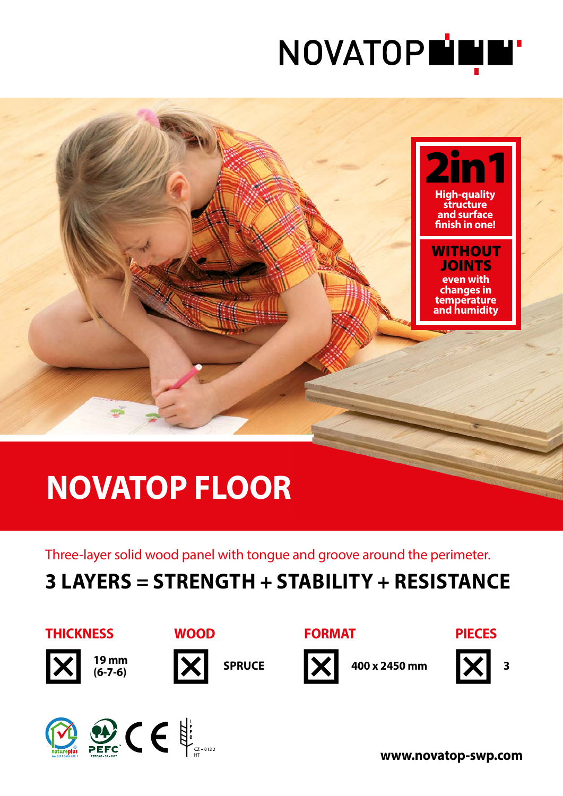



# **NOVATOP FLOOR**

Three-layer solid wood panel with tongue and groove around the perimeter.

## **3 LAYERS = STRENGTH + STABILITY + RESISTANCE**











**400 x 2450 mm**





**3**





**WOOD**

**www.novatop-swp.com**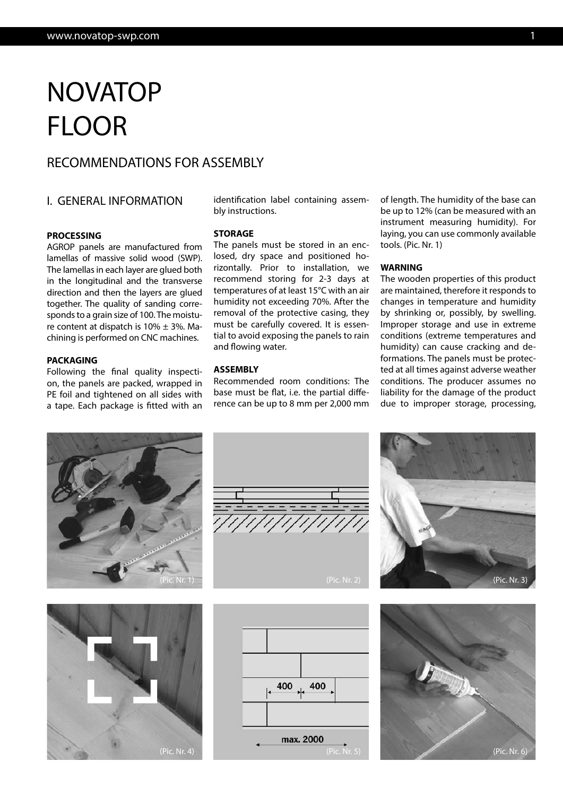## NOVATOP FLOOR

## RECOMMENDATIONS FOR ASSEMBLY

### I. GENERAL INFORMATION

#### **PROCESSING**

AGROP panels are manufactured from lamellas of massive solid wood (SWP). The lamellas in each layer are glued both in the longitudinal and the transverse direction and then the layers are glued together. The quality of sanding corresponds to a grain size of 100. The moisture content at dispatch is  $10\% \pm 3\%$ . Machining is performed on CNC machines.

#### **PACKAGING**

Following the final quality inspection, the panels are packed, wrapped in PE foil and tightened on all sides with a tape. Each package is fitted with an identification label containing assembly instructions.

#### **STORAGE**

The panels must be stored in an enclosed, dry space and positioned horizontally. Prior to installation, we recommend storing for 2-3 days at temperatures of at least 15°C with an air humidity not exceeding 70%. After the removal of the protective casing, they must be carefully covered. It is essential to avoid exposing the panels to rain and flowing water.

#### **ASSEMBLY**

Recommended room conditions: The base must be flat, i.e. the partial difference can be up to 8 mm per 2,000 mm of length. The humidity of the base can be up to 12% (can be measured with an instrument measuring humidity). For laying, you can use commonly available tools. (Pic. Nr. 1)

#### **WARNING**

The wooden properties of this product are maintained, therefore it responds to changes in temperature and humidity by shrinking or, possibly, by swelling. Improper storage and use in extreme conditions (extreme temperatures and humidity) can cause cracking and deformations. The panels must be protected at all times against adverse weather conditions. The producer assumes no liability for the damage of the product due to improper storage, processing,











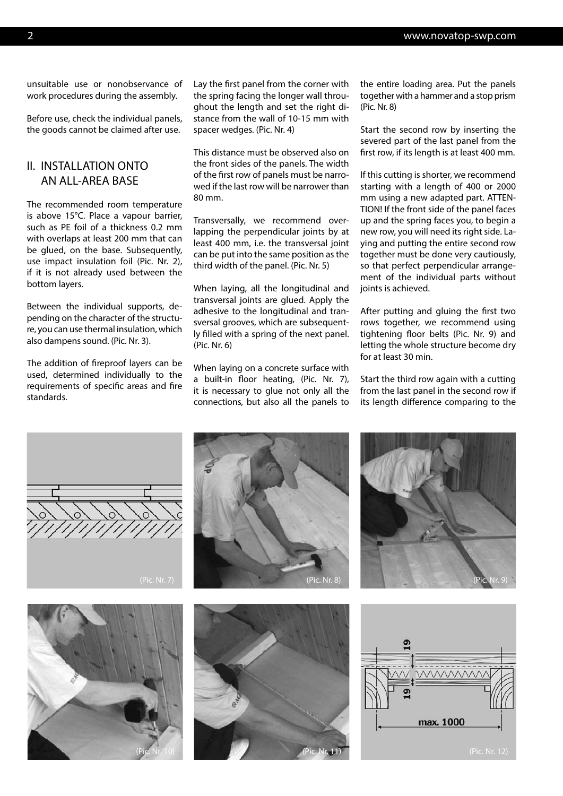unsuitable use or nonobservance of work procedures during the assembly.

Before use, check the individual panels, the goods cannot be claimed after use.

## II. INSTALLATION ONTO AN ALL-AREA BASE

The recommended room temperature is above 15°C. Place a vapour barrier, such as PE foil of a thickness 0.2 mm with overlaps at least 200 mm that can be glued, on the base. Subsequently, use impact insulation foil (Pic. Nr. 2), if it is not already used between the bottom layers.

Between the individual supports, depending on the character of the structure, you can use thermal insulation, which also dampens sound. (Pic. Nr. 3).

The addition of fireproof layers can be used, determined individually to the requirements of specific areas and fire standards.

Lay the first panel from the corner with the spring facing the longer wall throughout the length and set the right distance from the wall of 10-15 mm with spacer wedges. (Pic. Nr. 4)

This distance must be observed also on the front sides of the panels. The width of the first row of panels must be narrowed if the last row will be narrower than 80 mm.

Transversally, we recommend overlapping the perpendicular joints by at least 400 mm, i.e. the transversal joint can be put into the same position as the third width of the panel. (Pic. Nr. 5)

When laying, all the longitudinal and transversal joints are glued. Apply the adhesive to the longitudinal and transversal grooves, which are subsequently filled with a spring of the next panel. (Pic. Nr. 6)

When laying on a concrete surface with a built-in floor heating, (Pic. Nr. 7), it is necessary to glue not only all the connections, but also all the panels to the entire loading area. Put the panels together with a hammer and a stop prism (Pic. Nr. 8)

Start the second row by inserting the severed part of the last panel from the first row, if its length is at least 400 mm.

If this cutting is shorter, we recommend starting with a length of 400 or 2000 mm using a new adapted part. ATTEN-TION! If the front side of the panel faces up and the spring faces you, to begin a new row, you will need its right side. Laying and putting the entire second row together must be done very cautiously, so that perfect perpendicular arrangement of the individual parts without joints is achieved.

After putting and gluing the first two rows together, we recommend using tightening floor belts (Pic. Nr. 9) and letting the whole structure become dry for at least 30 min.

Start the third row again with a cutting from the last panel in the second row if its length difference comparing to the

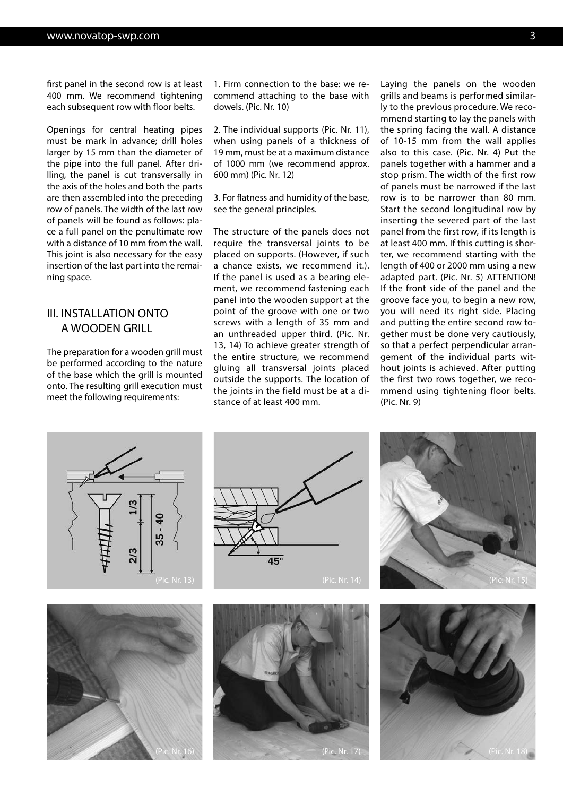first panel in the second row is at least 400 mm. We recommend tightening each subsequent row with floor belts.

Openings for central heating pipes must be mark in advance; drill holes larger by 15 mm than the diameter of the pipe into the full panel. After drilling, the panel is cut transversally in the axis of the holes and both the parts are then assembled into the preceding row of panels. The width of the last row of panels will be found as follows: place a full panel on the penultimate row with a distance of 10 mm from the wall. This joint is also necessary for the easy insertion of the last part into the remaining space.

## III. INSTALLATION ONTO A WOODEN GRILL

The preparation for a wooden grill must be performed according to the nature of the base which the grill is mounted onto. The resulting grill execution must meet the following requirements:

1. Firm connection to the base: we recommend attaching to the base with dowels. (Pic. Nr. 10)

2. The individual supports (Pic. Nr. 11), when using panels of a thickness of 19 mm, must be at a maximum distance of 1000 mm (we recommend approx. 600 mm) (Pic. Nr. 12)

3. For flatness and humidity of the base, see the general principles.

The structure of the panels does not require the transversal joints to be placed on supports. (However, if such a chance exists, we recommend it.). If the panel is used as a bearing element, we recommend fastening each panel into the wooden support at the point of the groove with one or two screws with a length of 35 mm and an unthreaded upper third. (Pic. Nr. 13, 14) To achieve greater strength of the entire structure, we recommend gluing all transversal joints placed outside the supports. The location of the joints in the field must be at a distance of at least 400 mm.

Laying the panels on the wooden grills and beams is performed similarly to the previous procedure. We recommend starting to lay the panels with the spring facing the wall. A distance of 10-15 mm from the wall applies also to this case. (Pic. Nr. 4) Put the panels together with a hammer and a stop prism. The width of the first row of panels must be narrowed if the last row is to be narrower than 80 mm. Start the second longitudinal row by inserting the severed part of the last panel from the first row, if its length is at least 400 mm. If this cutting is shorter, we recommend starting with the length of 400 or 2000 mm using a new adapted part. (Pic. Nr. 5) ATTENTION! If the front side of the panel and the groove face you, to begin a new row, you will need its right side. Placing and putting the entire second row together must be done very cautiously, so that a perfect perpendicular arrangement of the individual parts without joints is achieved. After putting the first two rows together, we recommend using tightening floor belts. (Pic. Nr. 9)











(Pic. Nr. 16) (Pic. Nr. 17) (Pic. Nr. 18)